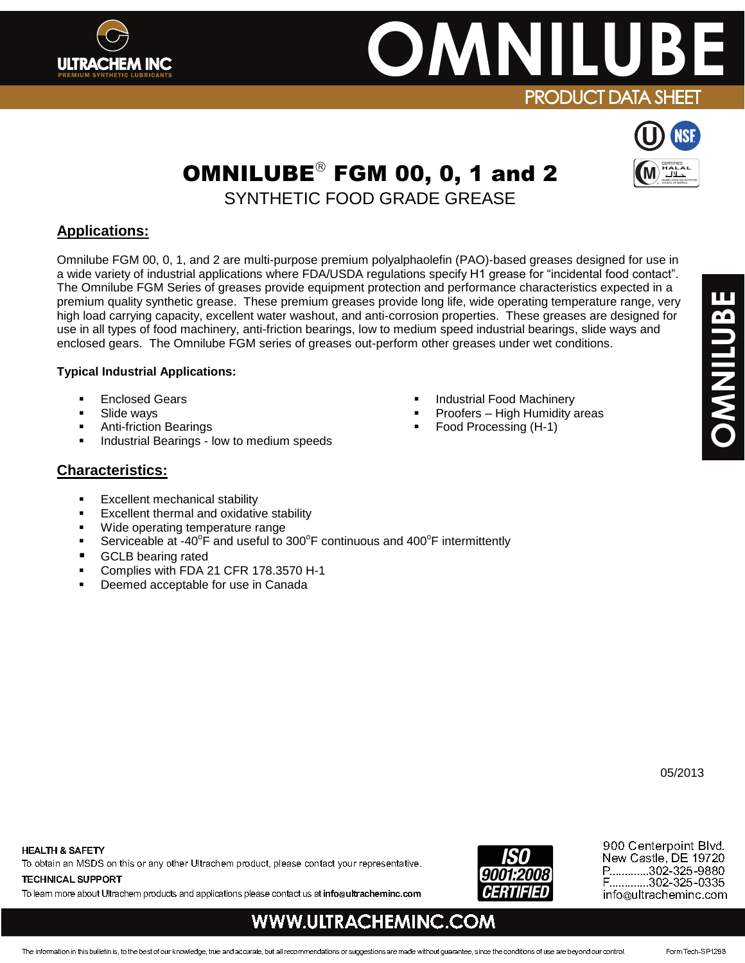## **ULTRACHEM INC**

# **OMNILUB**<br>PRODUCT DATA SHEET

### OMNILUBE $^\circ$  FGM 00, 0, 1 and 2

SYNTHETIC FOOD GRADE GREASE

#### **Applications:**

Omnilube FGM 00, 0, 1, and 2 are multi-purpose premium polyalphaolefin (PAO)-based greases designed for use in a wide variety of industrial applications where FDA/USDA regulations specify H1 grease for "incidental food contact". The Omnilube FGM Series of greases provide equipment protection and performance characteristics expected in a premium quality synthetic grease. These premium greases provide long life, wide operating temperature range, very high load carrying capacity, excellent water washout, and anti-corrosion properties. These greases are designed for use in all types of food machinery, anti-friction bearings, low to medium speed industrial bearings, slide ways and enclosed gears. The Omnilube FGM series of greases out-perform other greases under wet conditions.

#### **Typical Industrial Applications:**

- Enclosed Gears
- Slide ways
- Anti-friction Bearings
- Industrial Bearings low to medium speeds

#### **Characteristics:**

- **Excellent mechanical stability**
- Excellent thermal and oxidative stability
- Wide operating temperature range
- Serviceable at -40 $\degree$ F and useful to 300 $\degree$ F continuous and 400 $\degree$ F intermittently
- GCLB bearing rated
- Complies with FDA 21 CFR 178.3570 H-1
- Deemed acceptable for use in Canada
- Industrial Food Machinery
- Proofers High Humidity areas
- Food Processing (H-1)

#### **HEALTH & SAFETY**

To obtain an MSDS on this or any other Ultrachem product, please contact your representative.

**TECHNICAL SUPPORT**

To learn more about Ultrachem products and applications please contact us at **info@ultracheminc.com**



900 Centerpoint Blvd. New Castle, DE 19720 P.............302-325-9880 F.............302-325-0335 info@ultracheminc.com

#### **WWW.ULTRACHEMINC.COM**

05/2013